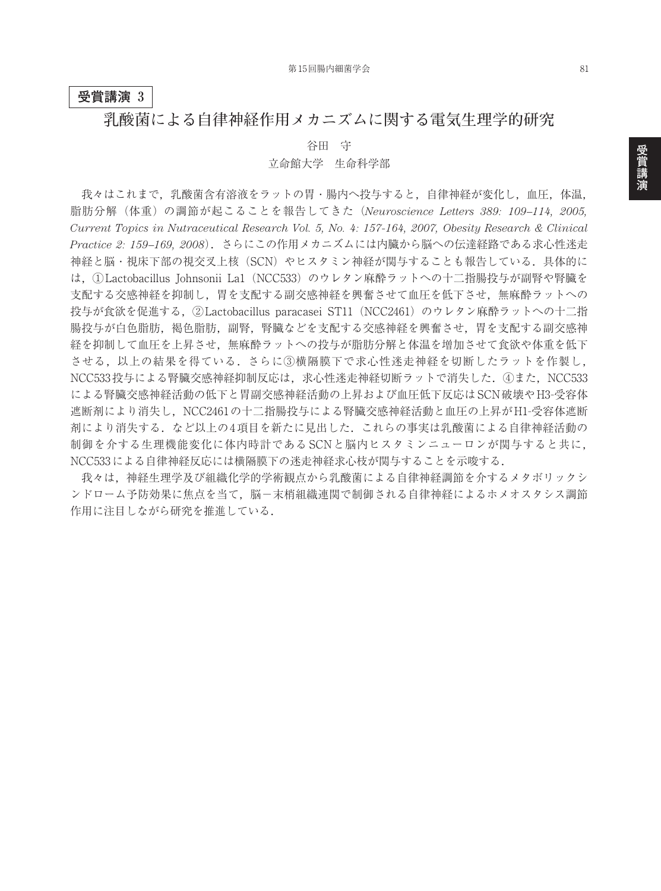## **受賞講演 3**

## **乳酸菌による自律神経作用メカニズムに関する電気生理学的研究**

#### 谷田 守

### 立命館大学 生命科学部

我々はこれまで,乳酸菌含有溶液をラットの胃・腸内へ投与すると,自律神経が変化し,血圧,体温, 脂肪分解(体重)の調節が起こることを報告してきた(*Neuroscience Letters 389: 109–114, 2005, Current Topics in Nutraceutical Research Vol. 5, No. 4: 157-164, 2007, Obesity Research & Clinical Practice 2: 159–169, 2008*).さらにこの作用メカニズムには内臓から脳への伝達経路である求心性迷走 神経と脳・視床下部の視交叉上核 (SCN) やヒスタミン神経が関与することも報告している. 具体的に は、①Lactobacillus Johnsonii La1 (NCC533)のウレタン麻酔ラットへの十二指腸投与が副腎や腎臓を 支配する交感神経を抑制し,胃を支配する副交感神経を興奮させて血圧を低下させ,無麻酔ラットへの 投与が食欲を促進する. ②Lactobacillus paracasei ST11 (NCC2461) のウレタン麻酔ラットへの十二指 腸投与が白色脂肪,褐色脂肪,副腎,腎臓などを支配する交感神経を興奮させ,胃を支配する副交感神 経を抑制して血圧を上昇させ,無麻酔ラットへの投与が脂肪分解と体温を増加させて食欲や体重を低下 させる,以上の結果を得ている.さらに③横隔膜下で求心性迷走神経を切断したラットを作製し, NCC533投与による腎臓交感神経抑制反応は,求心性迷走神経切断ラットで消失した. 4また, NCC533 による腎臓交感神経活動の低下と胃副交感神経活動の上昇および血圧低下反応はSCN破壊やH3-受容体 遮断剤により消失し,NCC2461の十二指腸投与による腎臓交感神経活動と血圧の上昇がH1-受容体遮断 剤により消失する.など以上の4項目を新たに見出した.これらの事実は乳酸菌による自律神経活動の 制御を介する生理機能変化に体内時計である SCNと脳内ヒスタミンニューロンが関与すると共に, NCC533による自律神経反応には横隔膜下の迷走神経求心枝が関与することを示唆する.

我々は,神経生理学及び組織化学的学術観点から乳酸菌による自律神経調節を介するメタボリックシ ンドローム予防効果に焦点を当て,脳-末梢組織連関で制御される自律神経によるホメオスタシス調節 作用に注目しながら研究を推進している.

81